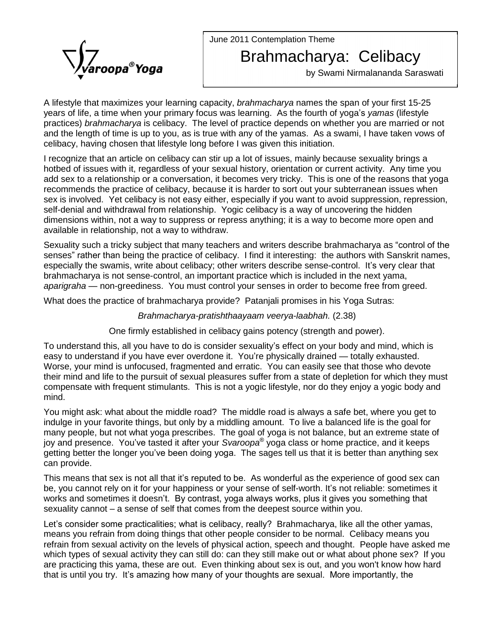June 2011 Contemplation Theme



## Brahmacharya: Celibacy

by Swami Nirmalananda Saraswati

A lifestyle that maximizes your learning capacity, *brahmacharya* names the span of your first 15-25 A lifestyle that maximizes your learning capacity, *brahmacharya* names the span of your first 15-25<br>years of life, a time when your primary focus was learning. As the fourth of yoga's *yamas* (lifestyle practices) brahmacharya is celibacy. The level of practice depends on whether you are married or not and the length of time is up to you, as is true with any of the yamas. As a swami, I have taken vows of celibacy, having chosen that lifestyle long before I was given this initiation.

I recognize that an article on celibacy can stirup a lot of issues, mainly because sexuality brings a hotbed of issues with it, regardless of your sexual history, orientation or current activity. Any time you add sex to a relationship or a conversation, it becomes very tricky. This is one of the reasons that yoga recommends the practice of celibacy, because it is harder to sort out your subterranean issues when sex is involved. Yet celibacy is not easy either, especially if you want to avoid suppression, repression, self-denial and withdrawal from relationship. Yogic celibacy is a way of uncovering the hidden dimensions within, not a way to suppress or repress anything; it is a way to become more open and available in relationship, not a way to withdraw. dimensions within, not a way to suppress or repress anything; it is a way to become more open and<br>available in relationship, not a way to withdraw.<br>Sexuality such a tricky subject that many teachers and writers describe br

available in relationship, not a way to withdraw.<br>Sexuality such a tricky subject that many teachers and writers describe brahmacharya as "control of the<br>senses" rather than being the practice of celibacy. I find it inter Sexuality such a tricky subject that many teachers and writers describe brahmacharya as "control of the<br>senses" rather than being the practice of celibacy. I find it interesting: the authors with Sanskrit names,<br>especially brahmacharya is not sense-control, an important practice which is included in the next yama, senses" rather than being the practice of celibacy. I find it interesting: the authors with Sanskrit names, especially the swamis, write about celibacy; other writers describe sense-control. It's very clear that brahmachar

What does the practice of brahmacharya provide? Patanjali promises in his Yoga Sutras:

## Brahmacharya-pratishthaayaam veerya-laabhah. (2.38)

One firmly established in celibacy gains potency (strength and power).

Thumasharya praishmagram vesrya haasham (2150)<br>One firmly established in celibacy gains potency (strength and power).<br>To understand this, all you have to do is consider sexuality's effect on your body and mind, which is One firmly established in celibacy gains potency (strength and power).<br>To understand this, all you have to do is consider sexuality's effect on your body and mind, which is<br>easy to understand if you have ever overdone it. Worse, your mind is unfocused, fragmented and erratic. You can easily see that those who devote their mind and life to the pursuit of sexual pleasures suffer from a state of depletion for which they must compensate with frequent stimulants. This is not a yogic lifestyle, nor do they enjoy a yogic body and mind.

You might ask: what about the middle road? The middle road is always a safe bet, where you get to indulge in your favorite things, but only by a middling amount. To live a balanced life is the goal for Æmany people, but not what yoga prescribes. The goal of yoga is not balance, but an extreme state of indulge in your favorite things, but only by a middling amount. To live a balanced life is the goal for many people, but not what yoga prescribes. The goal of yoga is not balance, but an extreme state of joy and presence. getting better the longer you've been doing yoga. The sages tell us that it is better than anything sex can provide.

This means that sex is not all that it's reputed to be. As wonderful as the experience of good sex can can provide.<br>This means that sex is not all that it's reputed to be. As wonderful as the experience of good sex can<br>be, you cannot rely on it for your happiness or your sense of self-worth. It's not reliable: sometimes it This means that sex is not all that it's reputed to be. As wonderful as the experience of good sex can<br>be, you cannot rely on it for your happiness or your sense of self-worth. It's not reliable: sometimes it<br>works and so sexuality cannot rely on it for your happiness or your sense of self-worth. It's not reliable<br>works and sometimes it doesn't. By contrast, yoga always works, plus it gives you sor<br>sexuality cannot – a sense of self that co works and sometimes it doesn't. By contrast, yoga always works, plus it gives you something that sexuality cannot – a sense of self that comes from the deepest source within you.<br>Let's consider some practicalities; what is

means you refrain from doing things that other people consider to be normal. Celibacy means you refrain from sexual activity on the levels of physical action, speech and thought. People have asked me which types of sexual activity they can still do: can they still make out or what about phone sex? If you are practicing this yama, these are out. Even thinking about sex is out, and you won't know how hard that is until y are practicing this yama, these are out. Even thinking about sex is out, and you won't know how hard